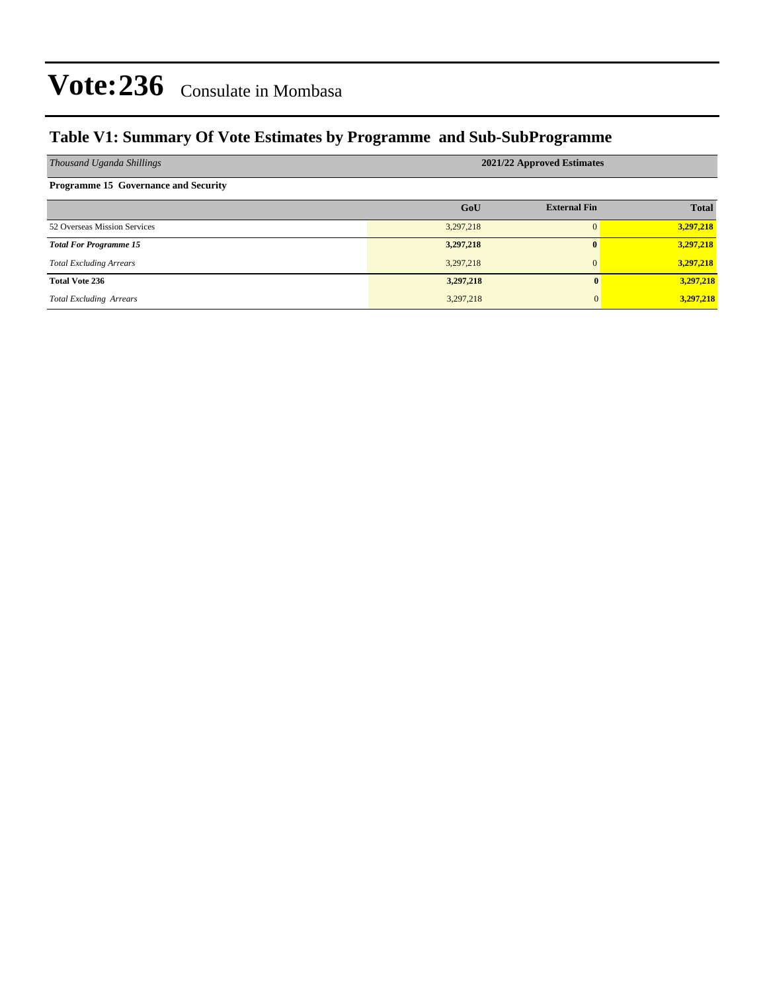### **Table V1: Summary Of Vote Estimates by Programme and Sub-SubProgramme**

| Thousand Uganda Shillings                   | 2021/22 Approved Estimates |                     |              |  |  |  |  |  |
|---------------------------------------------|----------------------------|---------------------|--------------|--|--|--|--|--|
| <b>Programme 15 Governance and Security</b> |                            |                     |              |  |  |  |  |  |
|                                             | GoU                        | <b>External Fin</b> | <b>Total</b> |  |  |  |  |  |
| 52 Overseas Mission Services                | 3,297,218                  | $\Omega$            | 3,297,218    |  |  |  |  |  |
| <b>Total For Programme 15</b>               | 3,297,218                  | $\mathbf{0}$        | 3,297,218    |  |  |  |  |  |
| <b>Total Excluding Arrears</b>              | 3,297,218                  | $\Omega$            | 3,297,218    |  |  |  |  |  |
| <b>Total Vote 236</b>                       | 3,297,218                  | $\mathbf{0}$        | 3,297,218    |  |  |  |  |  |
| <b>Total Excluding Arrears</b>              | 3,297,218                  | 0                   | 3,297,218    |  |  |  |  |  |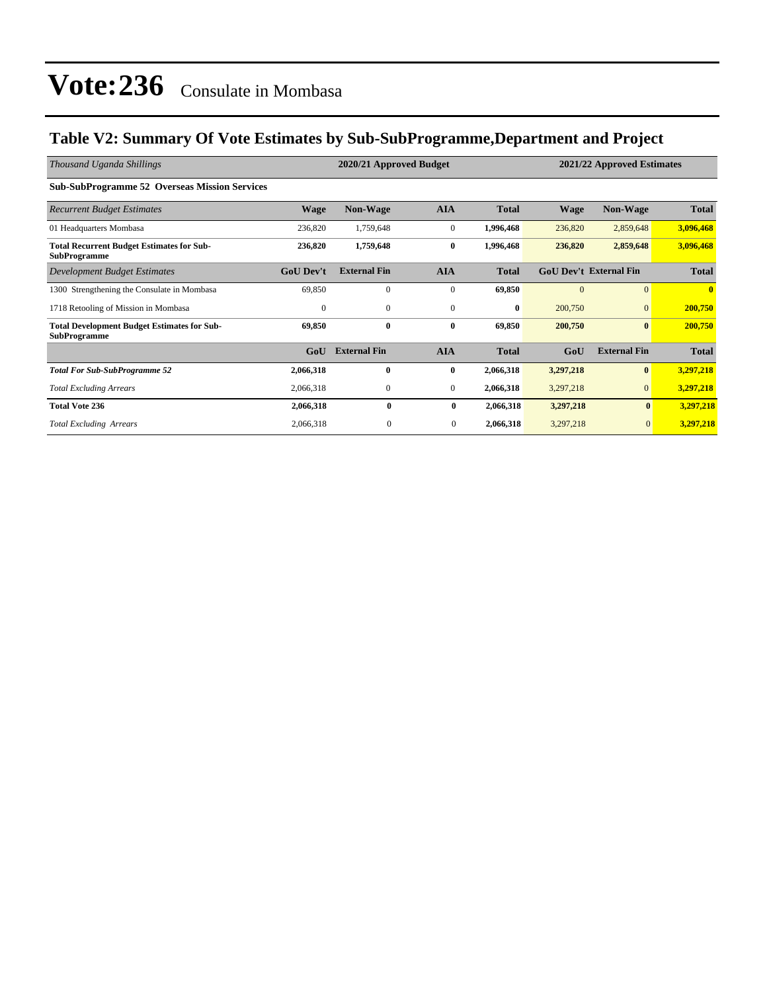### **Table V2: Summary Of Vote Estimates by Sub-SubProgramme,Department and Project**

| Thousand Uganda Shillings                                                 | 2020/21 Approved Budget<br>2021/22 Approved Estimates |                     |                |              |             |                               |              |  |
|---------------------------------------------------------------------------|-------------------------------------------------------|---------------------|----------------|--------------|-------------|-------------------------------|--------------|--|
| <b>Sub-SubProgramme 52 Overseas Mission Services</b>                      |                                                       |                     |                |              |             |                               |              |  |
| <b>Recurrent Budget Estimates</b>                                         | <b>Wage</b>                                           | <b>Non-Wage</b>     | <b>AIA</b>     | <b>Total</b> | <b>Wage</b> | <b>Non-Wage</b>               | <b>Total</b> |  |
| 01 Headquarters Mombasa                                                   | 236,820                                               | 1,759,648           | $\mathbf{0}$   | 1,996,468    | 236,820     | 2,859,648                     | 3,096,468    |  |
| <b>Total Recurrent Budget Estimates for Sub-</b><br><b>SubProgramme</b>   | 236,820                                               | 1,759,648           | $\bf{0}$       | 1,996,468    | 236,820     | 2,859,648                     | 3,096,468    |  |
| Development Budget Estimates                                              | <b>GoU Dev't</b>                                      | <b>External Fin</b> | <b>AIA</b>     | <b>Total</b> |             | <b>GoU Dev't External Fin</b> | <b>Total</b> |  |
| 1300 Strengthening the Consulate in Mombasa                               | 69,850                                                | $\mathbf{0}$        | $\mathbf{0}$   | 69,850       | $\Omega$    | $\mathbf{0}$                  | $\mathbf{0}$ |  |
| 1718 Retooling of Mission in Mombasa                                      | $\mathbf{0}$                                          | $\mathbf{0}$        | $\mathbf{0}$   | $\bf{0}$     | 200,750     | $\mathbf{0}$                  | 200,750      |  |
| <b>Total Development Budget Estimates for Sub-</b><br><b>SubProgramme</b> | 69,850                                                | $\bf{0}$            | $\bf{0}$       | 69,850       | 200,750     | $\mathbf{0}$                  | 200,750      |  |
|                                                                           | GoU                                                   | <b>External Fin</b> | <b>AIA</b>     | <b>Total</b> | GoU         | <b>External Fin</b>           | <b>Total</b> |  |
| <b>Total For Sub-SubProgramme 52</b>                                      | 2,066,318                                             | $\bf{0}$            | $\bf{0}$       | 2,066,318    | 3,297,218   | $\bf{0}$                      | 3,297,218    |  |
| <b>Total Excluding Arrears</b>                                            | 2,066,318                                             | $\boldsymbol{0}$    | $\mathbf{0}$   | 2,066,318    | 3,297,218   | $\mathbf{0}$                  | 3,297,218    |  |
| <b>Total Vote 236</b>                                                     | 2,066,318                                             | $\bf{0}$            | $\bf{0}$       | 2,066,318    | 3,297,218   | $\bf{0}$                      | 3,297,218    |  |
| <b>Total Excluding Arrears</b>                                            | 2,066,318                                             | $\mathbf{0}$        | $\overline{0}$ | 2,066,318    | 3,297,218   | $\overline{0}$                | 3,297,218    |  |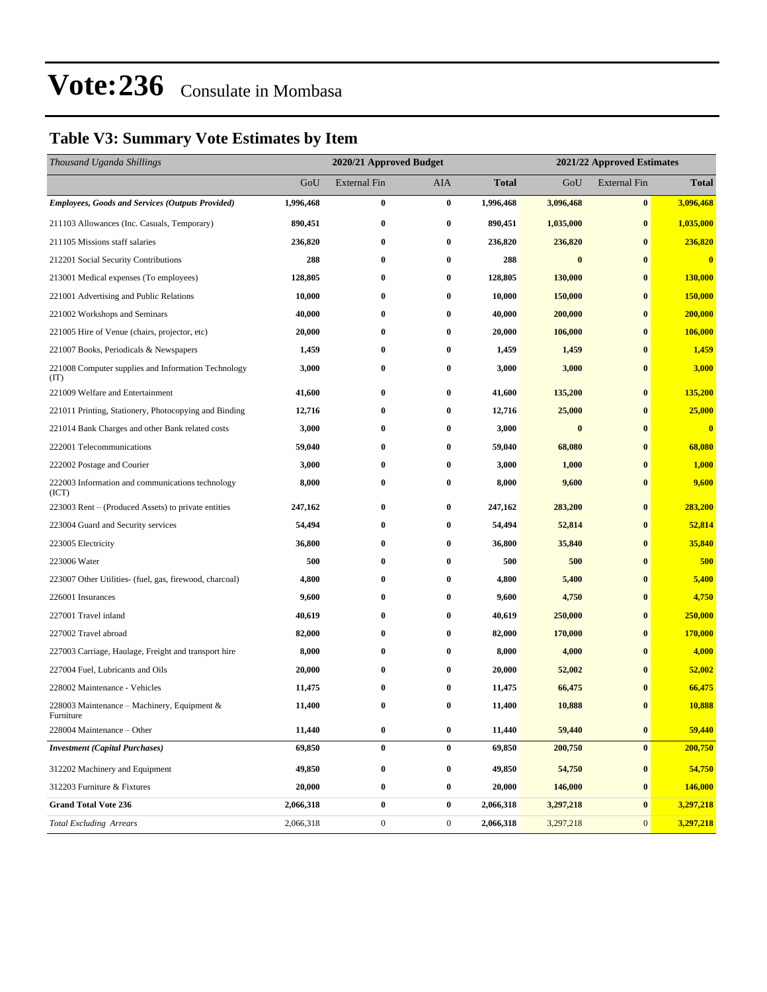### **Table V3: Summary Vote Estimates by Item**

| Thousand Uganda Shillings                                   |           | 2020/21 Approved Budget    |                  | 2021/22 Approved Estimates |           |                     |                         |  |
|-------------------------------------------------------------|-----------|----------------------------|------------------|----------------------------|-----------|---------------------|-------------------------|--|
|                                                             | GoU       | <b>External Fin</b><br>AIA |                  | Total                      | GoU       | <b>External Fin</b> | <b>Total</b>            |  |
| <b>Employees, Goods and Services (Outputs Provided)</b>     | 1,996,468 | $\bf{0}$                   | $\bf{0}$         | 1,996,468                  | 3,096,468 | $\bf{0}$            | 3,096,468               |  |
| 211103 Allowances (Inc. Casuals, Temporary)                 | 890,451   | $\bf{0}$                   | $\bf{0}$         | 890,451                    | 1,035,000 | $\bf{0}$            | 1,035,000               |  |
| 211105 Missions staff salaries                              | 236,820   | 0                          | $\bf{0}$         | 236,820                    | 236,820   | $\bf{0}$            | 236,820                 |  |
| 212201 Social Security Contributions                        | 288       | 0                          | $\bf{0}$         | 288                        | $\bf{0}$  | $\bf{0}$            | $\bf{0}$                |  |
| 213001 Medical expenses (To employees)                      | 128,805   | 0                          | $\bf{0}$         | 128,805                    | 130,000   | $\bf{0}$            | 130,000                 |  |
| 221001 Advertising and Public Relations                     | 10,000    | 0                          | $\bf{0}$         | 10,000                     | 150,000   | $\bf{0}$            | 150,000                 |  |
| 221002 Workshops and Seminars                               | 40,000    | $\bf{0}$                   | $\bf{0}$         | 40,000                     | 200,000   | $\bf{0}$            | 200,000                 |  |
| 221005 Hire of Venue (chairs, projector, etc)               | 20,000    | 0                          | $\bf{0}$         | 20,000                     | 106,000   | $\bf{0}$            | 106,000                 |  |
| 221007 Books, Periodicals & Newspapers                      | 1,459     | 0                          | $\bf{0}$         | 1,459                      | 1,459     | $\bf{0}$            | 1,459                   |  |
| 221008 Computer supplies and Information Technology<br>(TT) | 3,000     | $\bf{0}$                   | $\bf{0}$         | 3,000                      | 3,000     | $\bf{0}$            | 3,000                   |  |
| 221009 Welfare and Entertainment                            | 41,600    | 0                          | $\bf{0}$         | 41,600                     | 135,200   | $\bf{0}$            | 135,200                 |  |
| 221011 Printing, Stationery, Photocopying and Binding       | 12,716    | 0                          | $\bf{0}$         | 12,716                     | 25,000    | $\bf{0}$            | 25,000                  |  |
| 221014 Bank Charges and other Bank related costs            | 3,000     | $\bf{0}$                   | $\bf{0}$         | 3,000                      | $\bf{0}$  | $\bf{0}$            | $\overline{\mathbf{0}}$ |  |
| 222001 Telecommunications                                   | 59,040    | 0                          | $\bf{0}$         | 59,040                     | 68,080    | $\bf{0}$            | 68,080                  |  |
| 222002 Postage and Courier                                  | 3,000     | $\bf{0}$                   | $\bf{0}$         | 3,000                      | 1,000     | $\bf{0}$            | 1,000                   |  |
| 222003 Information and communications technology<br>(ICT)   | 8,000     | 0                          | $\bf{0}$         | 8,000                      | 9,600     | $\bf{0}$            | 9,600                   |  |
| 223003 Rent – (Produced Assets) to private entities         | 247,162   | 0                          | $\bf{0}$         | 247,162                    | 283,200   | $\bf{0}$            | 283,200                 |  |
| 223004 Guard and Security services                          | 54,494    | 0                          | $\bf{0}$         | 54,494                     | 52,814    | $\bf{0}$            | 52,814                  |  |
| 223005 Electricity                                          | 36,800    | 0                          | $\bf{0}$         | 36,800                     | 35,840    | $\bf{0}$            | 35,840                  |  |
| 223006 Water                                                | 500       | $\bf{0}$                   | $\bf{0}$         | 500                        | 500       | $\bf{0}$            | 500                     |  |
| 223007 Other Utilities- (fuel, gas, firewood, charcoal)     | 4,800     | $\bf{0}$                   | $\bf{0}$         | 4,800                      | 5,400     | $\bf{0}$            | 5,400                   |  |
| 226001 Insurances                                           | 9,600     | 0                          | $\bf{0}$         | 9,600                      | 4,750     | $\bf{0}$            | 4,750                   |  |
| 227001 Travel inland                                        | 40,619    | 0                          | $\bf{0}$         | 40,619                     | 250,000   | $\bf{0}$            | 250,000                 |  |
| 227002 Travel abroad                                        | 82,000    | 0                          | $\bf{0}$         | 82,000                     | 170,000   | $\bf{0}$            | 170,000                 |  |
| 227003 Carriage, Haulage, Freight and transport hire        | 8,000     | 0                          | $\bf{0}$         | 8,000                      | 4,000     | $\bf{0}$            | 4,000                   |  |
| 227004 Fuel, Lubricants and Oils                            | 20,000    | 0                          | $\bf{0}$         | 20,000                     | 52,002    | $\bf{0}$            | 52,002                  |  |
| 228002 Maintenance - Vehicles                               | 11,475    | 0                          | $\bf{0}$         | 11,475                     | 66,475    | $\bf{0}$            | 66,475                  |  |
| 228003 Maintenance – Machinery, Equipment $\&$<br>Furniture | 11,400    | $\bf{0}$                   | $\bf{0}$         | 11,400                     | 10,888    | $\bf{0}$            | 10,888                  |  |
| 228004 Maintenance – Other                                  | 11,440    | $\bf{0}$                   | $\bf{0}$         | 11,440                     | 59,440    | $\bf{0}$            | 59,440                  |  |
| <b>Investment</b> (Capital Purchases)                       | 69,850    | $\pmb{0}$                  | $\bf{0}$         | 69,850                     | 200,750   | $\bf{0}$            | 200,750                 |  |
| 312202 Machinery and Equipment                              | 49,850    | $\bf{0}$                   | $\bf{0}$         | 49,850                     | 54,750    | $\bf{0}$            | 54,750                  |  |
| 312203 Furniture & Fixtures                                 | 20,000    | $\bf{0}$                   | $\bf{0}$         | 20,000                     | 146,000   | $\bf{0}$            | 146,000                 |  |
| <b>Grand Total Vote 236</b>                                 | 2,066,318 | $\pmb{0}$                  | $\boldsymbol{0}$ | 2,066,318                  | 3,297,218 | $\bf{0}$            | 3,297,218               |  |
| <b>Total Excluding Arrears</b>                              | 2,066,318 | $\boldsymbol{0}$           | $\boldsymbol{0}$ | 2,066,318                  | 3,297,218 | $\boldsymbol{0}$    | 3,297,218               |  |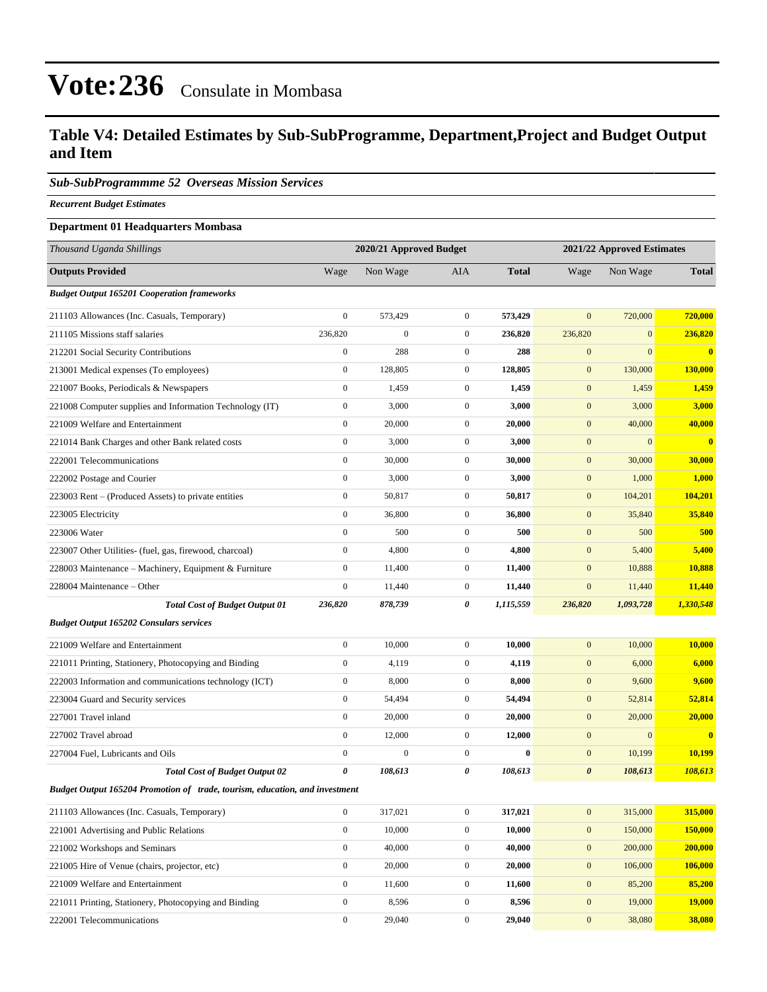### **Table V4: Detailed Estimates by Sub-SubProgramme, Department,Project and Budget Output and Item**

#### *Sub-SubProgrammme 52 Overseas Mission Services*

*Recurrent Budget Estimates*

#### **Department 01 Headquarters Mombasa**

| Thousand Uganda Shillings                                                   | 2020/21 Approved Budget |                  |                  |              | 2021/22 Approved Estimates |              |                |  |
|-----------------------------------------------------------------------------|-------------------------|------------------|------------------|--------------|----------------------------|--------------|----------------|--|
| <b>Outputs Provided</b>                                                     | Wage                    | Non Wage         | AIA              | <b>Total</b> | Wage                       | Non Wage     | <b>Total</b>   |  |
| <b>Budget Output 165201 Cooperation frameworks</b>                          |                         |                  |                  |              |                            |              |                |  |
| 211103 Allowances (Inc. Casuals, Temporary)                                 | $\boldsymbol{0}$        | 573,429          | $\overline{0}$   | 573,429      | $\mathbf{0}$               | 720,000      | 720,000        |  |
| 211105 Missions staff salaries                                              | 236,820                 | $\boldsymbol{0}$ | $\overline{0}$   | 236,820      | 236,820                    | $\mathbf{0}$ | 236,820        |  |
| 212201 Social Security Contributions                                        | $\boldsymbol{0}$        | 288              | $\mathbf{0}$     | 288          | $\mathbf{0}$               | $\mathbf{0}$ | $\mathbf{0}$   |  |
| 213001 Medical expenses (To employees)                                      | $\boldsymbol{0}$        | 128,805          | $\mathbf{0}$     | 128,805      | $\mathbf{0}$               | 130,000      | 130,000        |  |
| 221007 Books, Periodicals & Newspapers                                      | $\boldsymbol{0}$        | 1,459            | $\mathbf{0}$     | 1,459        | $\mathbf{0}$               | 1,459        | 1,459          |  |
| 221008 Computer supplies and Information Technology (IT)                    | $\boldsymbol{0}$        | 3,000            | $\overline{0}$   | 3,000        | $\mathbf{0}$               | 3,000        | 3,000          |  |
| 221009 Welfare and Entertainment                                            | $\boldsymbol{0}$        | 20,000           | $\mathbf{0}$     | 20,000       | $\mathbf{0}$               | 40,000       | 40,000         |  |
| 221014 Bank Charges and other Bank related costs                            | $\boldsymbol{0}$        | 3,000            | $\mathbf{0}$     | 3,000        | $\mathbf{0}$               | $\mathbf{0}$ | $\bf{0}$       |  |
| 222001 Telecommunications                                                   | $\boldsymbol{0}$        | 30,000           | $\overline{0}$   | 30,000       | $\mathbf{0}$               | 30,000       | 30,000         |  |
| 222002 Postage and Courier                                                  | $\boldsymbol{0}$        | 3,000            | $\mathbf{0}$     | 3,000        | $\mathbf{0}$               | 1,000        | 1,000          |  |
| 223003 Rent – (Produced Assets) to private entities                         | $\boldsymbol{0}$        | 50,817           | $\overline{0}$   | 50,817       | $\mathbf{0}$               | 104,201      | 104,201        |  |
| 223005 Electricity                                                          | $\boldsymbol{0}$        | 36,800           | $\mathbf{0}$     | 36,800       | $\mathbf{0}$               | 35,840       | 35,840         |  |
| 223006 Water                                                                | $\boldsymbol{0}$        | 500              | $\mathbf{0}$     | 500          | $\mathbf{0}$               | 500          | 500            |  |
| 223007 Other Utilities- (fuel, gas, firewood, charcoal)                     | $\boldsymbol{0}$        | 4,800            | $\overline{0}$   | 4,800        | $\mathbf{0}$               | 5,400        | 5,400          |  |
| 228003 Maintenance - Machinery, Equipment & Furniture                       | $\boldsymbol{0}$        | 11,400           | $\mathbf{0}$     | 11,400       | $\mathbf{0}$               | 10,888       | 10,888         |  |
| 228004 Maintenance – Other                                                  | $\boldsymbol{0}$        | 11,440           | $\overline{0}$   | 11,440       | $\mathbf{0}$               | 11,440       | 11,440         |  |
| <b>Total Cost of Budget Output 01</b>                                       | 236,820                 | 878,739          | 0                | 1,115,559    | 236,820                    | 1,093,728    | 1,330,548      |  |
| <b>Budget Output 165202 Consulars services</b>                              |                         |                  |                  |              |                            |              |                |  |
| 221009 Welfare and Entertainment                                            | $\boldsymbol{0}$        | 10,000           | $\overline{0}$   | 10,000       | $\mathbf{0}$               | 10,000       | 10,000         |  |
| 221011 Printing, Stationery, Photocopying and Binding                       | $\boldsymbol{0}$        | 4,119            | $\overline{0}$   | 4,119        | $\mathbf{0}$               | 6,000        | 6,000          |  |
| 222003 Information and communications technology (ICT)                      | $\boldsymbol{0}$        | 8,000            | $\mathbf{0}$     | 8,000        | $\mathbf{0}$               | 9,600        | 9,600          |  |
| 223004 Guard and Security services                                          | $\boldsymbol{0}$        | 54,494           | $\mathbf{0}$     | 54,494       | $\mathbf{0}$               | 52,814       | 52,814         |  |
| 227001 Travel inland                                                        | $\boldsymbol{0}$        | 20,000           | $\mathbf{0}$     | 20,000       | $\mathbf{0}$               | 20,000       | 20,000         |  |
| 227002 Travel abroad                                                        | $\boldsymbol{0}$        | 12,000           | $\mathbf{0}$     | 12,000       | $\mathbf{0}$               | $\mathbf{0}$ | $\bf{0}$       |  |
| 227004 Fuel, Lubricants and Oils                                            | $\boldsymbol{0}$        | $\mathbf{0}$     | $\overline{0}$   | $\bf{0}$     | $\mathbf{0}$               | 10,199       | 10,199         |  |
| <b>Total Cost of Budget Output 02</b>                                       | $\boldsymbol{\theta}$   | 108,613          | 0                | 108,613      | $\boldsymbol{\theta}$      | 108,613      | 108,613        |  |
| Budget Output 165204 Promotion of trade, tourism, education, and investment |                         |                  |                  |              |                            |              |                |  |
| 211103 Allowances (Inc. Casuals, Temporary)                                 | $\boldsymbol{0}$        | 317,021          | $\boldsymbol{0}$ | 317,021      | $\boldsymbol{0}$           | 315,000      | 315,000        |  |
| 221001 Advertising and Public Relations                                     | $\boldsymbol{0}$        | 10,000           | $\boldsymbol{0}$ | 10,000       | $\boldsymbol{0}$           | 150,000      | 150,000        |  |
| 221002 Workshops and Seminars                                               | $\boldsymbol{0}$        | 40,000           | $\boldsymbol{0}$ | 40,000       | $\mathbf{0}$               | 200,000      | 200,000        |  |
| 221005 Hire of Venue (chairs, projector, etc)                               | $\boldsymbol{0}$        | 20,000           | $\boldsymbol{0}$ | 20,000       | $\boldsymbol{0}$           | 106,000      | <b>106,000</b> |  |
| 221009 Welfare and Entertainment                                            | $\boldsymbol{0}$        | 11,600           | $\boldsymbol{0}$ | 11,600       | $\mathbf{0}$               | 85,200       | 85,200         |  |
| 221011 Printing, Stationery, Photocopying and Binding                       | $\boldsymbol{0}$        | 8,596            | $\boldsymbol{0}$ | 8,596        | $\mathbf{0}$               | 19,000       | <b>19,000</b>  |  |
| 222001 Telecommunications                                                   | $\boldsymbol{0}$        | 29,040           | $\boldsymbol{0}$ | 29,040       | $\mathbf{0}$               | 38,080       | 38,080         |  |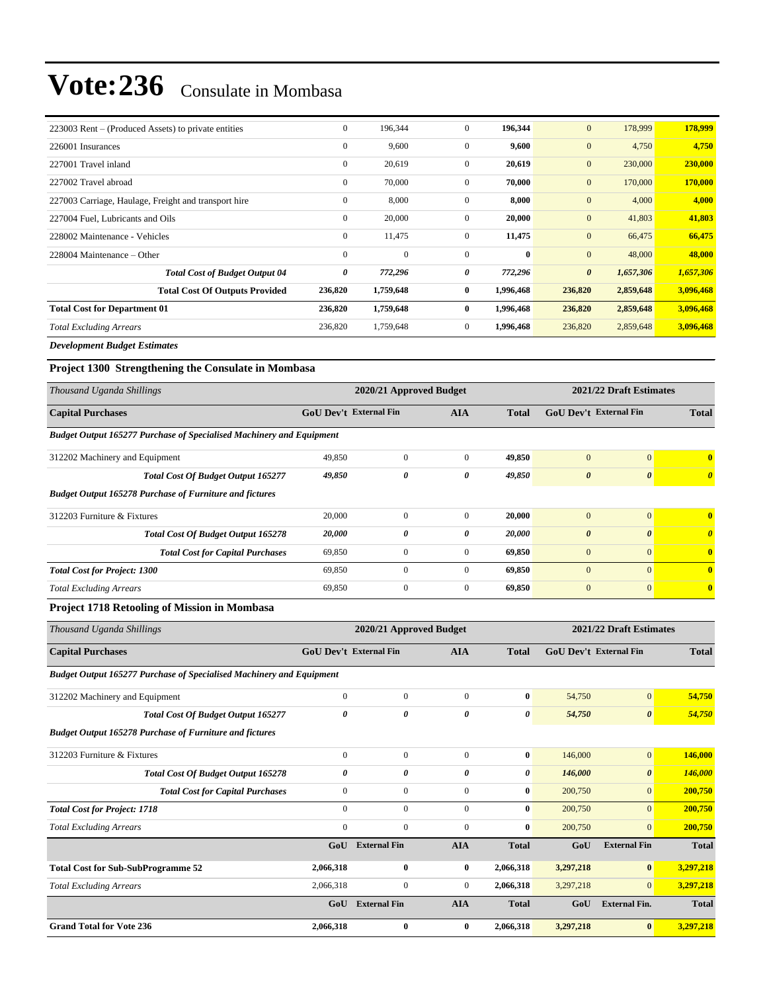| 223003 Rent – (Produced Assets) to private entities  | $\boldsymbol{0}$ | 196,344      | $\overline{0}$ | 196,344   | $\mathbf{0}$          | 178,999   | 178,999   |
|------------------------------------------------------|------------------|--------------|----------------|-----------|-----------------------|-----------|-----------|
| 226001 Insurances                                    | $\mathbf{0}$     | 9,600        | $\overline{0}$ | 9,600     | $\mathbf{0}$          | 4,750     | 4,750     |
| 227001 Travel inland                                 | $\mathbf{0}$     | 20,619       | $\overline{0}$ | 20,619    | $\mathbf{0}$          | 230,000   | 230,000   |
| 227002 Travel abroad                                 | $\boldsymbol{0}$ | 70,000       | $\mathbf{0}$   | 70,000    | $\mathbf{0}$          | 170,000   | 170,000   |
| 227003 Carriage, Haulage, Freight and transport hire | $\boldsymbol{0}$ | 8,000        | $\mathbf{0}$   | 8,000     | $\mathbf{0}$          | 4,000     | 4,000     |
| 227004 Fuel, Lubricants and Oils                     | $\boldsymbol{0}$ | 20,000       | $\mathbf{0}$   | 20,000    | $\mathbf{0}$          | 41,803    | 41,803    |
| 228002 Maintenance - Vehicles                        | $\mathbf{0}$     | 11,475       | $\mathbf{0}$   | 11,475    | $\mathbf{0}$          | 66,475    | 66,475    |
| 228004 Maintenance – Other                           | $\mathbf{0}$     | $\mathbf{0}$ | $\mathbf{0}$   | $\bf{0}$  | $\mathbf{0}$          | 48,000    | 48,000    |
| <b>Total Cost of Budget Output 04</b>                | 0                | 772,296      | 0              | 772,296   | $\boldsymbol{\theta}$ | 1,657,306 | 1,657,306 |
| <b>Total Cost Of Outputs Provided</b>                | 236,820          | 1,759,648    | $\bf{0}$       | 1,996,468 | 236,820               | 2,859,648 | 3,096,468 |
| <b>Total Cost for Department 01</b>                  | 236,820          | 1,759,648    | $\bf{0}$       | 1,996,468 | 236,820               | 2,859,648 | 3,096,468 |
| <b>Total Excluding Arrears</b>                       | 236,820          | 1,759,648    | $\overline{0}$ | 1,996,468 | 236,820               | 2,859,648 | 3,096,468 |
| $\mathbf{r}$ is the state of $\mathbf{r}$            |                  |              |                |           |                       |           |           |

*Development Budget Estimates*

**Project 1300 Strengthening the Consulate in Mombasa**

| Thousand Uganda Shillings                                                   |                               | 2020/21 Approved Budget | 2021/22 Draft Estimates |              |                               |                       |                       |  |  |  |  |
|-----------------------------------------------------------------------------|-------------------------------|-------------------------|-------------------------|--------------|-------------------------------|-----------------------|-----------------------|--|--|--|--|
| <b>Capital Purchases</b>                                                    | <b>GoU Dev't External Fin</b> |                         | <b>AIA</b>              | <b>Total</b> | <b>GoU</b> Dev't External Fin |                       | <b>Total</b>          |  |  |  |  |
| <b>Budget Output 165277 Purchase of Specialised Machinery and Equipment</b> |                               |                         |                         |              |                               |                       |                       |  |  |  |  |
| 312202 Machinery and Equipment                                              | 49,850                        | $\mathbf{0}$            | $\mathbf{0}$            | 49,850       | $\mathbf{0}$                  | $\mathbf{0}$          |                       |  |  |  |  |
| <b>Total Cost Of Budget Output 165277</b>                                   | 49,850                        | 0                       | 0                       | 49,850       | $\boldsymbol{\theta}$         | $\boldsymbol{\theta}$ | $\boldsymbol{\theta}$ |  |  |  |  |
| <b>Budget Output 165278 Purchase of Furniture and fictures</b>              |                               |                         |                         |              |                               |                       |                       |  |  |  |  |
| 312203 Furniture & Fixtures                                                 | 20,000                        | $\mathbf{0}$            | $\Omega$                | 20,000       | $\mathbf{0}$                  | $\overline{0}$        | $\mathbf{0}$          |  |  |  |  |
| Total Cost Of Budget Output 165278                                          | 20,000                        | 0                       | 0                       | 20,000       | $\boldsymbol{\theta}$         | $\boldsymbol{\theta}$ | $\boldsymbol{\theta}$ |  |  |  |  |
| <b>Total Cost for Capital Purchases</b>                                     | 69,850                        | $\boldsymbol{0}$        | $\mathbf{0}$            | 69,850       | $\mathbf{0}$                  | $\mathbf{0}$          | $\bf{0}$              |  |  |  |  |
| <b>Total Cost for Project: 1300</b>                                         | 69,850                        | $\mathbf{0}$            | $\mathbf{0}$            | 69,850       | $\mathbf{0}$                  | $\mathbf{0}$          | $\bf{0}$              |  |  |  |  |
| <b>Total Excluding Arrears</b>                                              | 69,850                        | $\mathbf{0}$            | $\overline{0}$          | 69,850       | $\mathbf{0}$                  | $\mathbf{0}$          | $\bf{0}$              |  |  |  |  |
| - - - - - - - -<br>$\sim$ $\sim$ $\sim$ $\sim$ $\sim$ $\sim$                |                               |                         |                         |              |                               |                       |                       |  |  |  |  |

#### **Project 1718 Retooling of Mission in Mombasa**

| Thousand Uganda Shillings                                                   |                               | 2020/21 Approved Budget |                |              | 2021/22 Draft Estimates |                               |              |
|-----------------------------------------------------------------------------|-------------------------------|-------------------------|----------------|--------------|-------------------------|-------------------------------|--------------|
| <b>Capital Purchases</b>                                                    | <b>GoU Dev't External Fin</b> |                         | <b>AIA</b>     | <b>Total</b> |                         | <b>GoU</b> Dev't External Fin |              |
| <b>Budget Output 165277 Purchase of Specialised Machinery and Equipment</b> |                               |                         |                |              |                         |                               |              |
| 312202 Machinery and Equipment                                              | $\mathbf{0}$                  | $\mathbf{0}$            | $\mathbf{0}$   | $\bf{0}$     | 54,750                  | $\mathbf{0}$                  | 54,750       |
| <b>Total Cost Of Budget Output 165277</b>                                   | 0                             | 0                       | 0              | 0            | 54,750                  | 0                             | 54,750       |
| <b>Budget Output 165278 Purchase of Furniture and fictures</b>              |                               |                         |                |              |                         |                               |              |
| 312203 Furniture & Fixtures                                                 | $\mathbf{0}$                  | $\overline{0}$          | $\mathbf{0}$   | $\bf{0}$     | 146,000                 | $\mathbf{0}$                  | 146,000      |
| Total Cost Of Budget Output 165278                                          | 0                             | 0                       | 0              | 0            | 146,000                 | $\boldsymbol{\theta}$         | 146,000      |
| <b>Total Cost for Capital Purchases</b>                                     | $\mathbf{0}$                  | $\boldsymbol{0}$        | $\overline{0}$ | $\bf{0}$     | 200,750                 | $\mathbf{0}$                  | 200,750      |
| <b>Total Cost for Project: 1718</b>                                         | $\Omega$                      | $\overline{0}$          | $\Omega$       | $\mathbf{0}$ | 200,750                 | $\overline{0}$                | 200,750      |
| <b>Total Excluding Arrears</b>                                              | $\mathbf{0}$                  | $\overline{0}$          | $\mathbf{0}$   | $\bf{0}$     | 200,750                 | $\overline{0}$                | 200,750      |
|                                                                             | GoU                           | <b>External Fin</b>     | <b>AIA</b>     | <b>Total</b> | GoU                     | <b>External Fin</b>           | <b>Total</b> |
| <b>Total Cost for Sub-SubProgramme 52</b>                                   | 2,066,318                     | $\bf{0}$                | $\bf{0}$       | 2,066,318    | 3,297,218               | $\bf{0}$                      | 3,297,218    |
| <b>Total Excluding Arrears</b>                                              | 2,066,318                     | $\boldsymbol{0}$        | $\mathbf{0}$   | 2,066,318    | 3,297,218               | $\overline{0}$                | 3,297,218    |
|                                                                             | GoU                           | <b>External Fin</b>     | <b>AIA</b>     | <b>Total</b> | GoU                     | <b>External Fin.</b>          | <b>Total</b> |
| <b>Grand Total for Vote 236</b>                                             | 2,066,318                     | $\bf{0}$                | $\bf{0}$       | 2,066,318    | 3,297,218               | $\bf{0}$                      | 3,297,218    |